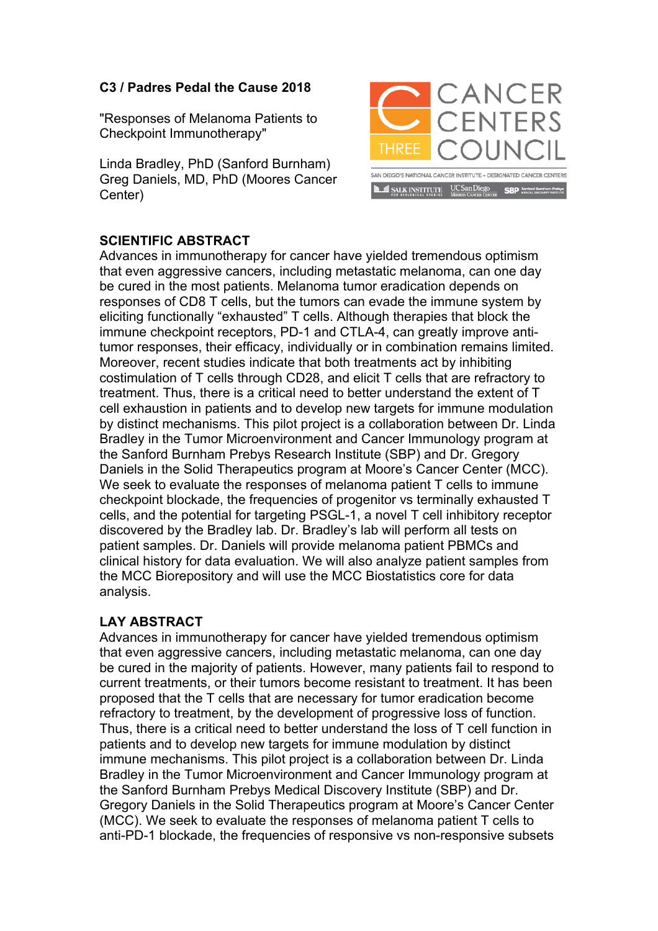## **C3 / Padres Pedal the Cause 2018**

"Responses of Melanoma Patients to Checkpoint Immunotherapy"

Linda Bradley, PhD (Sanford Burnham) Greg Daniels, MD, PhD (Moores Cancer Center)



## **SCIENTIFIC ABSTRACT**

Advances in immunotherapy for cancer have yielded tremendous optimism that even aggressive cancers, including metastatic melanoma, can one day be cured in the most patients. Melanoma tumor eradication depends on responses of CD8 T cells, but the tumors can evade the immune system by eliciting functionally "exhausted" T cells. Although therapies that block the immune checkpoint receptors, PD-1 and CTLA-4, can greatly improve antitumor responses, their efficacy, individually or in combination remains limited. Moreover, recent studies indicate that both treatments act by inhibiting costimulation of T cells through CD28, and elicit T cells that are refractory to treatment. Thus, there is a critical need to better understand the extent of T cell exhaustion in patients and to develop new targets for immune modulation by distinct mechanisms. This pilot project is a collaboration between Dr. Linda Bradley in the Tumor Microenvironment and Cancer Immunology program at the Sanford Burnham Prebys Research Institute (SBP) and Dr. Gregory Daniels in the Solid Therapeutics program at Moore's Cancer Center (MCC). We seek to evaluate the responses of melanoma patient T cells to immune checkpoint blockade, the frequencies of progenitor vs terminally exhausted T cells, and the potential for targeting PSGL-1, a novel T cell inhibitory receptor discovered by the Bradley lab. Dr. Bradley's lab will perform all tests on patient samples. Dr. Daniels will provide melanoma patient PBMCs and clinical history for data evaluation. We will also analyze patient samples from the MCC Biorepository and will use the MCC Biostatistics core for data analysis.

## **LAY ABSTRACT**

Advances in immunotherapy for cancer have yielded tremendous optimism that even aggressive cancers, including metastatic melanoma, can one day be cured in the majority of patients. However, many patients fail to respond to current treatments, or their tumors become resistant to treatment. It has been proposed that the T cells that are necessary for tumor eradication become refractory to treatment, by the development of progressive loss of function. Thus, there is a critical need to better understand the loss of T cell function in patients and to develop new targets for immune modulation by distinct immune mechanisms. This pilot project is a collaboration between Dr. Linda Bradley in the Tumor Microenvironment and Cancer Immunology program at the Sanford Burnham Prebys Medical Discovery Institute (SBP) and Dr. Gregory Daniels in the Solid Therapeutics program at Moore's Cancer Center (MCC). We seek to evaluate the responses of melanoma patient T cells to anti-PD-1 blockade, the frequencies of responsive vs non-responsive subsets